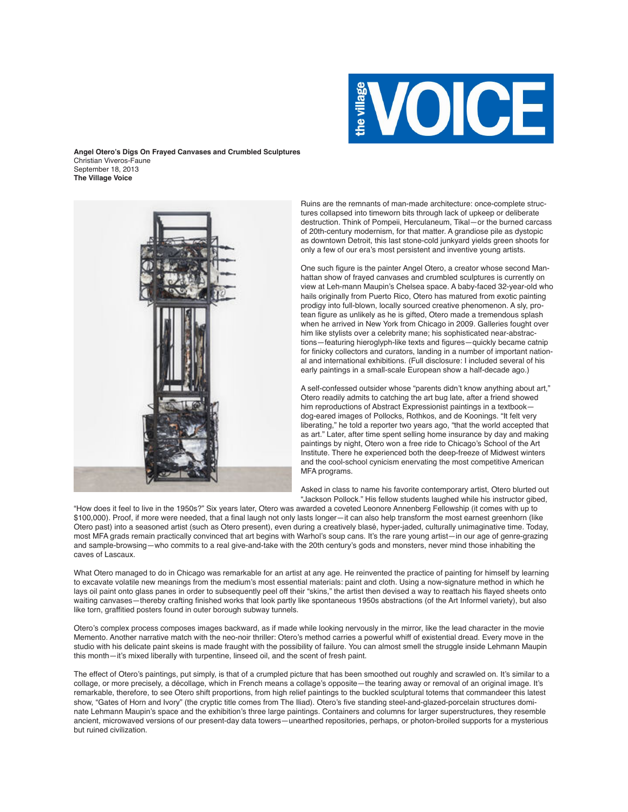

**Angel Otero's Digs On Frayed Canvases and Crumbled Sculptures** Christian Viveros-Faune September 18, 2013 **The Village Voice**



Ruins are the remnants of man-made architecture: once-complete structures collapsed into timeworn bits through lack of upkeep or deliberate destruction. Think of Pompeii, Herculaneum, Tikal—or the burned carcass of 20th-century modernism, for that matter. A grandiose pile as dystopic as downtown Detroit, this last stone-cold junkyard yields green shoots for only a few of our era's most persistent and inventive young artists.

One such figure is the painter Angel Otero, a creator whose second Manhattan show of frayed canvases and crumbled sculptures is currently on view at Leh-mann Maupin's Chelsea space. A baby-faced 32-year-old who hails originally from Puerto Rico, Otero has matured from exotic painting prodigy into full-blown, locally sourced creative phenomenon. A sly, protean figure as unlikely as he is gifted, Otero made a tremendous splash when he arrived in New York from Chicago in 2009. Galleries fought over him like stylists over a celebrity mane; his sophisticated near-abstractions—featuring hieroglyph-like texts and figures—quickly became catnip for finicky collectors and curators, landing in a number of important national and international exhibitions. (Full disclosure: I included several of his early paintings in a small-scale European show a half-decade ago.)

A self-confessed outsider whose "parents didn't know anything about art," Otero readily admits to catching the art bug late, after a friend showed him reproductions of Abstract Expressionist paintings in a textbook dog-eared images of Pollocks, Rothkos, and de Koonings. "It felt very liberating," he told a reporter two years ago, "that the world accepted that as art." Later, after time spent selling home insurance by day and making paintings by night, Otero won a free ride to Chicago's School of the Art Institute. There he experienced both the deep-freeze of Midwest winters and the cool-school cynicism enervating the most competitive American MFA programs.

Asked in class to name his favorite contemporary artist, Otero blurted out "Jackson Pollock." His fellow students laughed while his instructor gibed,

"How does it feel to live in the 1950s?" Six years later, Otero was awarded a coveted Leonore Annenberg Fellowship (it comes with up to \$100,000). Proof, if more were needed, that a final laugh not only lasts longer—it can also help transform the most earnest greenhorn (like Otero past) into a seasoned artist (such as Otero present), even during a creatively blasé, hyper-jaded, culturally unimaginative time. Today, most MFA grads remain practically convinced that art begins with Warhol's soup cans. It's the rare young artist—in our age of genre-grazing and sample-browsing—who commits to a real give-and-take with the 20th century's gods and monsters, never mind those inhabiting the caves of Lascaux.

What Otero managed to do in Chicago was remarkable for an artist at any age. He reinvented the practice of painting for himself by learning to excavate volatile new meanings from the medium's most essential materials: paint and cloth. Using a now-signature method in which he lays oil paint onto glass panes in order to subsequently peel off their "skins," the artist then devised a way to reattach his flayed sheets onto waiting canvases—thereby crafting finished works that look partly like spontaneous 1950s abstractions (of the Art Informel variety), but also like torn, graffitied posters found in outer borough subway tunnels.

Otero's complex process composes images backward, as if made while looking nervously in the mirror, like the lead character in the movie Memento. Another narrative match with the neo-noir thriller: Otero's method carries a powerful whiff of existential dread. Every move in the studio with his delicate paint skeins is made fraught with the possibility of failure. You can almost smell the struggle inside Lehmann Maupin this month—it's mixed liberally with turpentine, linseed oil, and the scent of fresh paint.

The effect of Otero's paintings, put simply, is that of a crumpled picture that has been smoothed out roughly and scrawled on. It's similar to a collage, or more precisely, a décollage, which in French means a collage's opposite—the tearing away or removal of an original image. It's remarkable, therefore, to see Otero shift proportions, from high relief paintings to the buckled sculptural totems that commandeer this latest show, "Gates of Horn and Ivory" (the cryptic title comes from The Iliad). Otero's five standing steel-and-glazed-porcelain structures dominate Lehmann Maupin's space and the exhibition's three large paintings. Containers and columns for larger superstructures, they resemble ancient, microwaved versions of our present-day data towers—unearthed repositories, perhaps, or photon-broiled supports for a mysterious but ruined civilization.